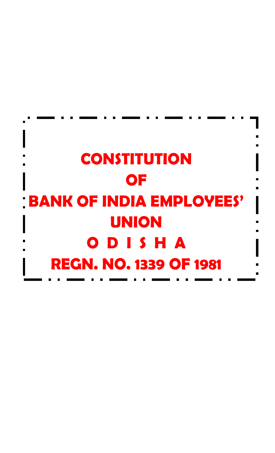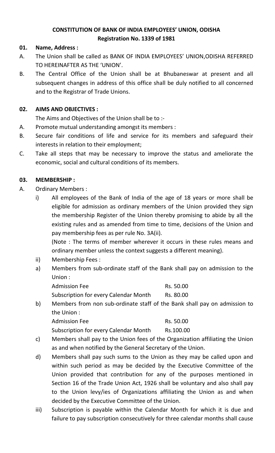## **CONSTITUTION OF BANK OF INDIA EMPLOYEES' UNION, ODISHA Registration No. 1339 of 1981**

## **01. Name, Address :**

- A. The Union shall be called as BANK OF INDIA EMPLOYEES' UNION,ODISHA REFERRED TO HEREINAFTER AS THE 'UNION'.
- B. The Central Office of the Union shall be at Bhubaneswar at present and all subsequent changes in address of this office shall be duly notified to all concerned and to the Registrar of Trade Unions.

## **02. AIMS AND OBJECTIVES :**

The Aims and Objectives of the Union shall be to :-

- A. Promote mutual understanding amongst its members :
- B. Secure fair conditions of life and service for its members and safeguard their interests in relation to their employment;
- C. Take all steps that may be necessary to improve the status and ameliorate the economic, social and cultural conditions of its members.

## **03. MEMBERSHIP :**

- A. Ordinary Members :
	- i) All employees of the Bank of India of the age of 18 years or more shall be eligible for admission as ordinary members of the Union provided they sign the membership Register of the Union thereby promising to abide by all the existing rules and as amended from time to time, decisions of the Union and pay membership fees as per rule No. 3A(ii).

(Note : The terms of member wherever it occurs in these rules means and ordinary member unless the context suggests a different meaning).

- ii) Membership Fees :
- a) Members from sub-ordinate staff of the Bank shall pay on admission to the Union :

| <b>Admission Fee</b>                         | Rs. 50.00 |
|----------------------------------------------|-----------|
| <b>Subscription for every Calendar Month</b> | Rs. 80.00 |

b) Members from non sub-ordinate staff of the Bank shall pay on admission to the Union :

Admission Fee Rs. 50.00 Subscription for every Calendar Month Rs.100.00

- c) Members shall pay to the Union fees of the Organization affiliating the Union as and when notified by the General Secretary of the Union.
- d) Members shall pay such sums to the Union as they may be called upon and within such period as may be decided by the Executive Committee of the Union provided that contribution for any of the purposes mentioned in Section 16 of the Trade Union Act, 1926 shall be voluntary and also shall pay to the Union levy/ies of Organizations affiliating the Union as and when decided by the Executive Committee of the Union.
- iii) Subscription is payable within the Calendar Month for which it is due and failure to pay subscription consecutively for three calendar months shall cause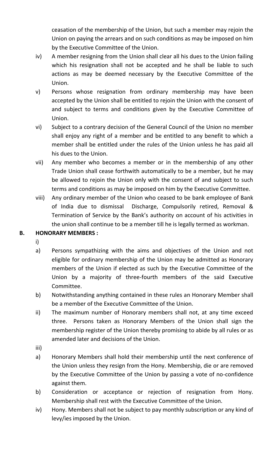ceasation of the membership of the Union, but such a member may rejoin the Union on paying the arrears and on such conditions as may be imposed on him by the Executive Committee of the Union.

- iv) A member resigning from the Union shall clear all his dues to the Union failing which his resignation shall not be accepted and he shall be liable to such actions as may be deemed necessary by the Executive Committee of the Union.
- v) Persons whose resignation from ordinary membership may have been accepted by the Union shall be entitled to rejoin the Union with the consent of and subject to terms and conditions given by the Executive Committee of Union.
- vi) Subject to a contrary decision of the General Council of the Union no member shall enjoy any right of a member and be entitled to any benefit to which a member shall be entitled under the rules of the Union unless he has paid all his dues to the Union.
- vii) Any member who becomes a member or in the membership of any other Trade Union shall cease forthwith automatically to be a member, but he may be allowed to rejoin the Union only with the consent of and subject to such terms and conditions as may be imposed on him by the Executive Committee.
- viii) Any ordinary member of the Union who ceased to be bank employee of Bank of India due to dismissal Discharge, Compulsorily retired, Removal & Termination of Service by the Bank's authority on account of his activities in the union shall continue to be a member till he is legally termed as workman.

# **B. HONORARY MEMBERS :**

- i)
- a) Persons sympathizing with the aims and objectives of the Union and not eligible for ordinary membership of the Union may be admitted as Honorary members of the Union if elected as such by the Executive Committee of the Union by a majority of three-fourth members of the said Executive Committee.
- b) Notwithstanding anything contained in these rules an Honorary Member shall be a member of the Executive Committee of the Union.
- ii) The maximum number of Honorary members shall not, at any time exceed three. Persons taken as Honorary Members of the Union shall sign the membership register of the Union thereby promising to abide by all rules or as amended later and decisions of the Union.
- iii)
- a) Honorary Members shall hold their membership until the next conference of the Union unless they resign from the Hony. Membership, die or are removed by the Executive Committee of the Union by passing a vote of no-confidence against them.
- b) Consideration or acceptance or rejection of resignation from Hony. Membership shall rest with the Executive Committee of the Union.
- iv) Hony. Members shall not be subject to pay monthly subscription or any kind of levy/ies imposed by the Union.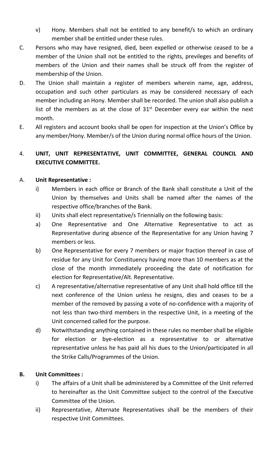- v) Hony. Members shall not be entitled to any benefit/s to which an ordinary member shall be entitled under these rules.
- C. Persons who may have resigned, died, been expelled or otherwise ceased to be a member of the Union shall not be entitled to the rights, previleges and benefits of members of the Union and their names shall be struck off from the register of membership of the Union.
- D. The Union shall maintain a register of members wherein name, age, address, occupation and such other particulars as may be considered necessary of each member including an Hony. Member shall be recorded. The union shall also publish a list of the members as at the close of  $31<sup>st</sup>$  December every ear within the next month.
- E. All registers and account books shall be open for inspection at the Union's Office by any member/Hony. Member/s of the Union during normal office hours of the Union.

# 4. **UNIT, UNIT REPRESENTATIVE, UNIT COMMITTEE, GENERAL COUNCIL AND EXECUTIVE COMMITTEE.**

## A. **Unit Representative :**

- i) Members in each office or Branch of the Bank shall constitute a Unit of the Union by themselves and Units shall be named after the names of the respective office/branches of the Bank.
- ii) Units shall elect representative/s Triennially on the following basis:
- a) One Representative and One Alternative Representative to act as Representative during absence of the Representative for any Union having 7 members or less.
- b) One Representative for every 7 members or major fraction thereof in case of residue for any Unit for Constituency having more than 10 members as at the close of the month immediately proceeding the date of notification for election for Representative/Alt. Representative.
- c) A representative/alternative representative of any Unit shall hold office till the next conference of the Union unless he resigns, dies and ceases to be a member of the removed by passing a vote of no-confidence with a majority of not less than two-third members in the respective Unit, in a meeting of the Unit concerned called for the purpose.
- d) Notwithstanding anything contained in these rules no member shall be eligible for election or bye-election as a representative to or alternative representative unless he has paid all his dues to the Union/participated in all the Strike Calls/Programmes of the Union.

# **B. Unit Committees :**

- i) The affairs of a Unit shall be administered by a Committee of the Unit referred to hereinafter as the Unit Committee subject to the control of the Executive Committee of the Union.
- ii) Representative, Alternate Representatives shall be the members of their respective Unit Committees.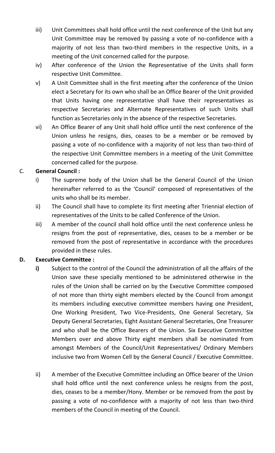- iii) Unit Committees shall hold office until the next conference of the Unit but any Unit Committee may be removed by passing a vote of no-confidence with a majority of not less than two-third members in the respective Units, in a meeting of the Unit concerned called for the purpose.
- iv) After conference of the Union the Representative of the Units shall form respective Unit Committee.
- v) A Unit Committee shall in the first meeting after the conference of the Union elect a Secretary for its own who shall be an Office Bearer of the Unit provided that Units having one representative shall have their representatives as respective Secretaries and Alternate Representatives of such Units shall function as Secretaries only in the absence of the respective Secretaries.
- vi) An Office Bearer of any Unit shall hold office until the next conference of the Union unless he resigns, dies, ceases to be a member or be removed by passing a vote of no-confidence with a majority of not less than two-third of the respective Unit Committee members in a meeting of the Unit Committee concerned called for the purpose.

## C. **General Council :**

- i) The supreme body of the Union shall be the General Council of the Union hereinafter referred to as the 'Council' composed of representatives of the units who shall be its member.
- ii) The Council shall have to complete its first meeting after Triennial election of representatives of the Units to be called Conference of the Union.
- iii) A member of the council shall hold office until the next conference unless he resigns from the post of representative, dies, ceases to be a member or be removed from the post of representative in accordance with the procedures provided in these rules.

### **D. Executive Committee :**

- **i)** Subject to the control of the Council the administration of all the affairs of the Union save these specially mentioned to be administered otherwise in the rules of the Union shall be carried on by the Executive Committee composed of not more than thirty eight members elected by the Council from amongst its members including executive committee members having one President, One Working President, Two Vice-Presidents, One General Secretary, Six Deputy General Secretaries, Eight Assistant General Secretaries, One Treasurer and who shall be the Office Bearers of the Union. Six Executive Committee Members over and above Thirty eight members shall be nominated from amongst Members of the Council/Unit Representatives/ Ordinary Members inclusive two from Women Cell by the General Council / Executive Committee.
- ii) A member of the Executive Committee including an Office bearer of the Union shall hold office until the next conference unless he resigns from the post, dies, ceases to be a member/Hony. Member or be removed from the post by passing a vote of no-confidence with a majority of not less than two-third members of the Council in meeting of the Council.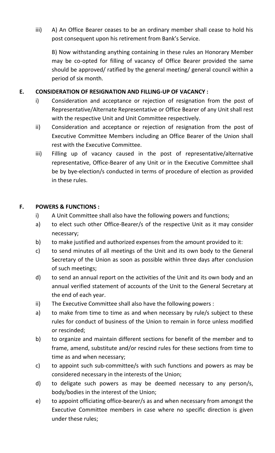iii) A) An Office Bearer ceases to be an ordinary member shall cease to hold his post consequent upon his retirement from Bank's Service.

B) Now withstanding anything containing in these rules an Honorary Member may be co-opted for filling of vacancy of Office Bearer provided the same should be approved/ ratified by the general meeting/ general council within a period of six month.

### **E. CONSIDERATION OF RESIGNATION AND FILLING-UP OF VACANCY :**

- i) Consideration and acceptance or rejection of resignation from the post of Representative/Alternate Representative or Office Bearer of any Unit shall rest with the respective Unit and Unit Committee respectively.
- ii) Consideration and acceptance or rejection of resignation from the post of Executive Committee Members including an Office Bearer of the Union shall rest with the Executive Committee.
- iii) Filling up of vacancy caused in the post of representative/alternative representative, Office-Bearer of any Unit or in the Executive Committee shall be by bye-election/s conducted in terms of procedure of election as provided in these rules.

### **F. POWERS & FUNCTIONS :**

- i) A Unit Committee shall also have the following powers and functions;
- a) to elect such other Office-Bearer/s of the respective Unit as it may consider necessary;
- b) to make justified and authorized expenses from the amount provided to it:
- c) to send minutes of all meetings of the Unit and its own body to the General Secretary of the Union as soon as possible within three days after conclusion of such meetings;
- d) to send an annual report on the activities of the Unit and its own body and an annual verified statement of accounts of the Unit to the General Secretary at the end of each year.
- ii) The Executive Committee shall also have the following powers :
- a) to make from time to time as and when necessary by rule/s subject to these rules for conduct of business of the Union to remain in force unless modified or rescinded;
- b) to organize and maintain different sections for benefit of the member and to frame, amend, substitute and/or rescind rules for these sections from time to time as and when necessary;
- c) to appoint such sub-committee/s with such functions and powers as may be considered necessary in the interests of the Union;
- d) to deligate such powers as may be deemed necessary to any person/s, body/bodies in the interest of the Union;
- e) to appoint officiating office-bearer/s as and when necessary from amongst the Executive Committee members in case where no specific direction is given under these rules;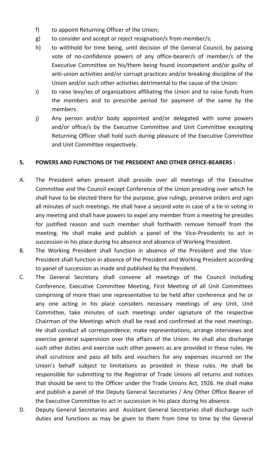- f) to appoint Returning Officer of the Union;
- g) to consider and accept or reject resignation/s from member/s;
- h) to withhold for time being, until decision of the General Council, by passing vote of no-confidence powers of any office-bearer/s of member/s of the Executive Committee on his/them being found incompetent and/or guilty of anti-union activities and/or corrupt practices and/or breaking discipline of the Union and/or such other activities detrimental to the cause of the Union:
- i) to raise levy/ies of organizations affiliating the Union and to raise funds from the members and to prescribe period for payment of the same by the members.
- j) Any person and/or body appointed and/or delegated with some powers and/or office/s by the Executive Committee and Unit Committee excepting Returning Officer shall hold such during pleasure of the Executive Committee and Unit Committee respectively.

#### **5. POWERS AND FUNCTIONS OF THE PRESIDENT AND OTHER OFFICE-BEARERS :**

- A. The President when present shall preside over all meetings of the Executive Committee and the Council except Conference of the Union presiding over which he shall have to be elected there for the purpose, give rulings, preserve orders and sign all minutes of such meetings. He shall have a second vote in case of a tie in voting in any meeting and shall have powers to expel any member from a meeting he presides for justified reason and such member shall forthwith remove himself from the meeting. He shall make and publish a panel of the Vice-Presidents to act in succession in his place during his absence and absence of Working President.
- B. The Working President shall function in absence of the President and the Vice-President shall function in absence of the President and Working President according to panel of succession as made and published by the President.
- C. The General Secretary shall convene all meetings of the Council including Conference, Executive Committee Meeting, First Meeting of all Unit Committees comprising of more than one representative to be held after conference and he or any one acting in his place considers necessary meetings of any Unit, Unit Committee, take minutes of such meetings under signature of the respective Chairman of the Meetings which shall be read and confirmed at the next meetings. He shall conduct all correspondence, make representations, arrange interviews and exercise general supervision over the affairs of the Union. He shall also discharge such other duties and exercise such other powers as are provided in these rules. He shall scrutinize and pass all bills and vouchers for any expenses incurred on the Union's behalf subject to limitations as provided in these rules. He shall be responsible for submitting to the Registrar of Trade Unions all returns and notices that should be sent to the Officer under the Trade Unions Act, 1926. He shall make and publish a panel of the Deputy General Secretaries / Any Other Office Bearer of the Executive Committee to act in succession in his place during his absence.
- D. Deputy General Secretaries and Assistant General Secretaries shall discharge such duties and functions as may be given to them from time to time by the General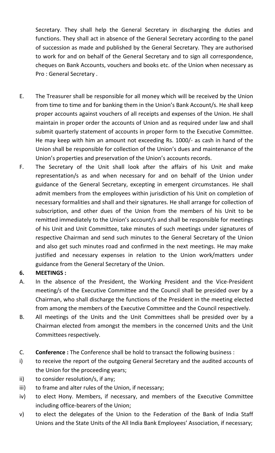Secretary. They shall help the General Secretary in discharging the duties and functions. They shall act in absence of the General Secretary according to the panel of succession as made and published by the General Secretary. They are authorised to work for and on behalf of the General Secretary and to sign all correspondence, cheques on Bank Accounts, vouchers and books etc. of the Union when necessary as Pro : General Secretary .

- E. The Treasurer shall be responsible for all money which will be received by the Union from time to time and for banking them in the Union's Bank Account/s. He shall keep proper accounts against vouchers of all receipts and expenses of the Union. He shall maintain in proper order the accounts of Union and as required under law and shall submit quarterly statement of accounts in proper form to the Executive Committee. He may keep with him an amount not exceeding Rs. 1000/- as cash in hand of the Union shall be responsible for collection of the Union's dues and maintenance of the Union's properties and preservation of the Union's accounts records.
- F. The Secretary of the Unit shall look after the affairs of his Unit and make representation/s as and when necessary for and on behalf of the Union under guidance of the General Secretary, excepting in emergent circumstances. He shall admit members from the employees within jurisdiction of his Unit on completion of necessary formalities and shall and their signatures. He shall arrange for collection of subscription, and other dues of the Union from the members of his Unit to be remitted immediately to the Union's account/s and shall be responsible for meetings of his Unit and Unit Committee, take minutes of such meetings under signatures of respective Chairman and send such minutes to the General Secretary of the Union and also get such minutes road and confirmed in the next meetings. He may make justified and necessary expenses in relation to the Union work/matters under guidance from the General Secretary of the Union.

# **6. MEETINGS :**

- A. In the absence of the President, the Working President and the Vice-President meeting/s of the Executive Committee and the Council shall be presided over by a Chairman, who shall discharge the functions of the President in the meeting elected from among the members of the Executive Committee and the Council respectively.
- B. All meetings of the Units and the Unit Committees shall be presided over by a Chairman elected from amongst the members in the concerned Units and the Unit Committees respectively.
- C. **Conference :** The Conference shall be hold to transact the following business :
- i) to receive the report of the outgoing General Secretary and the audited accounts of the Union for the proceeding years;
- ii) to consider resolution/s, if any;
- iii) to frame and alter rules of the Union, if necessary;
- iv) to elect Hony. Members, if necessary, and members of the Executive Committee including office-bearers of the Union;
- v) to elect the delegates of the Union to the Federation of the Bank of India Staff Unions and the State Units of the All India Bank Employees' Association, if necessary;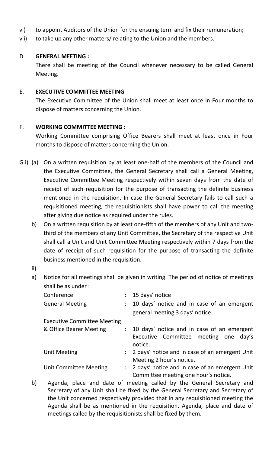- vi) to appoint Auditors of the Union for the ensuing term and fix their remuneration;
- vii) to take up any other matters/ relating to the Union and the members.

### D. **GENERAL MEETING :**

There shall be meeting of the Council whenever necessary to be called General Meeting.

#### E. **EXECUTIVE COMMITTEE MEETING**

The Executive Committee of the Union shall meet at least once in Four months to dispose of matters concerning the Union.

#### F. **WORKING COMMITTEE MEETING :**

Working Committee comprising Office Bearers shall meet at least once in Four months to dispose of matters concerning the Union.

- G.i) (a) On a written requisition by at least one-half of the members of the Council and the Executive Committee, the General Secretary shall call a General Meeting, Executive Committee Meeting respectively within seven days from the date of receipt of such requisition for the purpose of transacting the definite business mentioned in the requisition. In case the General Secretary fails to call such a requisitioned meeting, the requisitionists shall have power to call the meeting after giving due notice as required under the rules.
	- b) On a written requisition by at least one-fifth of the members of any Unit and twothird of the members of any Unit Committee, the Secretary of the respective Unit shall call a Unit and Unit Committee Meeting respectively within 7 days from the date of receipt of such requisition for the purpose of transacting the definite business mentioned in the requisition.
	- ii)
	- a) Notice for all meetings shall be given in writing. The period of notice of meetings shall be as under :

| Conference                         |                           | $: 15$ days' notice                                 |  |  |  |  |  |
|------------------------------------|---------------------------|-----------------------------------------------------|--|--|--|--|--|
| <b>General Meeting</b>             |                           | : 10 days' notice and in case of an emergent        |  |  |  |  |  |
|                                    |                           | general meeting 3 days' notice.                     |  |  |  |  |  |
| <b>Executive Committee Meeting</b> |                           |                                                     |  |  |  |  |  |
| & Office Bearer Meeting            |                           | : 10 days' notice and in case of an emergent        |  |  |  |  |  |
|                                    |                           | Executive Committee meeting one<br>day's<br>notice. |  |  |  |  |  |
| <b>Unit Meeting</b>                |                           | : 2 days' notice and in case of an emergent Unit    |  |  |  |  |  |
|                                    |                           | Meeting 2 hour's notice.                            |  |  |  |  |  |
| <b>Unit Committee Meeting</b>      | $\mathbb{R}^{\mathbb{Z}}$ | 2 days' notice and in case of an emergent Unit      |  |  |  |  |  |
|                                    |                           | Committee meeting one hour's notice.                |  |  |  |  |  |
|                                    |                           |                                                     |  |  |  |  |  |

b) Agenda, place and date of meeting called by the General Secretary and Secretary of any Unit shall be fixed by the General Secretary and Secretary of the Unit concerned respectively provided that in any requisitioned meeting the Agenda shall be as mentioned in the requisition. Agenda, place and date of meetings called by the requisitionists shall be fixed by them.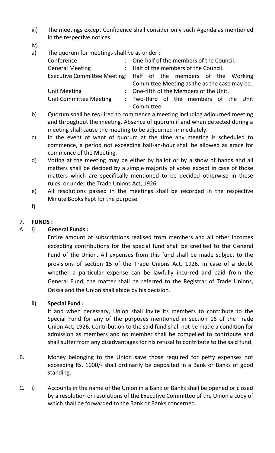- iii) The meetings except Confidence shall consider only such Agenda as mentioned in the respective notices.
- iv)
- a) The quorum for meetings shall be as under :

| Conference                    | : One-half of the members of the Council.                       |  |  |  |  |  |  |  |  |
|-------------------------------|-----------------------------------------------------------------|--|--|--|--|--|--|--|--|
| <b>General Meeting</b>        | : Half of the members of the Council.                           |  |  |  |  |  |  |  |  |
|                               | Executive Committee Meeting: Half of the members of the Working |  |  |  |  |  |  |  |  |
|                               | Committee Meeting as the as the case may be.                    |  |  |  |  |  |  |  |  |
| <b>Unit Meeting</b>           | : One-fifth of the Members of the Unit.                         |  |  |  |  |  |  |  |  |
| <b>Unit Committee Meeting</b> | : Two-third of the members of the Unit                          |  |  |  |  |  |  |  |  |
|                               | Committee.                                                      |  |  |  |  |  |  |  |  |

- b) Quorum shall be required to commence a meeting including adjourned meeting and throughout the meeting. Absence of quorum if and when detected during a meeting shall cause the meeting to be adjourned immediately.
- c) In the event of want of quorum at the time any meeting is scheduled to commence, a period not exceeding half-an-hour shall be allowed as grace for commence of the Meeting.
- d) Voting at the meeting may be either by ballot or by a show of hands and all matters shall be decided by a simple majority of votes except in case of those matters which are specifically mentioned to be decided otherwise in these rules, or under the Trade Unions Act, 1926.
- e) All resolutions passed in the meetings shall be recorded in the respective Minute Books kept for the purpose.
- f)

### 7. **FUNDS :**

### A i) **General Funds :**

Entire amount of subscriptions realised from members and all other incomes excepting contributions for the special fund shall be credited to the General Fund of the Union. All expenses from this fund shall be made subject to the provisions of section 15 of the Trade Unions Act, 1926. In case of a doubt whether a particular expense can be lawfully incurred and paid from the General Fund, the matter shall be referred to the Registrar of Trade Unions, Orissa and the Union shall abide by his decision.

### ii) **Special Fund :**

If and when necessary, Union shall invite its members to contribute to the Special Fund for any of the purposes mentioned in section 16 of the Trade Union Act, 1926. Contribution to the said fund shall not be made a condition for admission as members and no member shall be compelled to contribute and shall suffer from any disadvantages for his refusal to contribute to the said fund.

- B. Money belonging to the Union save those required for petty expenses not exceeding Rs. 1000/- shall ordinarily be deposited in a Bank or Banks of good standing.
- C. i) Accounts in the name of the Union in a Bank or Banks shall be opened or closed by a resolution or resolutions of the Executive Committee of the Union a copy of which shall be forwarded to the Bank or Banks concerned.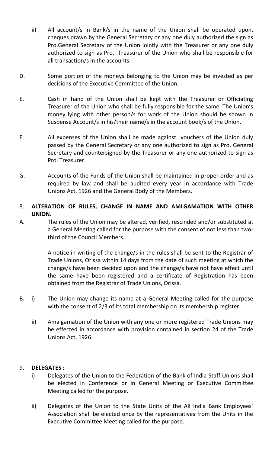- ii) All account/s in Bank/s in the name of the Union shall be operated upon, cheques drawn by the General Secretary or any one duly authorized the sign as Pro.General Secretary of the Union jointly with the Treasurer or any one duly authorized to sign as Pro. Treasurer of the Union who shall be responsible for all transaction/s in the accounts.
- D. Some portion of the moneys belonging to the Union may be invested as per decisions of the Executive Committee of the Union.
- E. Cash in hand of the Union shall be kept with the Treasurer or Officiating Treasurer of the Union who shall be fully responsible for the same. The Union's money lying with other person/s for work of the Union should be shown in Suspense Account/s in his/their name/s in the account book/s of the Union.
- F. All expenses of the Union shall be made against vouchers of the Union duly passed by the General Secretary or any one authorized to sign as Pro. General Secretary and countersigned by the Treasurer or any one authorized to sign as Pro. Treasurer.
- G. Accounts of the Funds of the Union shall be maintained in proper order and as required by law and shall be audited every year in accordance with Trade Unions Act, 1926 and the General Body of the Members.
- 8. **ALTERATION OF RULES, CHANGE IN NAME AND AMLGAMATION WITH OTHER UNION.**
- A. The rules of the Union may be altered, verified, rescinded and/or substituted at a General Meeting called for the purpose with the consent of not less than twothird of the Council Members.

A notice in writing of the change/s in the rules shall be sent to the Registrar of Trade Unions, Orissa within 14 days from the date of such meeting at which the change/s have been decided upon and the change/s have not have effect until the same have been registered and a certificate of Registration has been obtained from the Registrar of Trade Unions, Orissa.

- B. i) The Union may change its name at a General Meeting called for the purpose with the consent of 2/3 of its total membership on its membership register.
	- ii) Amalgamation of the Union with any one or more registered Trade Unions may be effected in accordance with provision contained in section 24 of the Trade Unions Act, 1926.

#### 9. **DELEGATES :**

- i) Delegates of the Union to the Federation of the Bank of India Staff Unions shall be elected in Conference or in General Meeting or Executive Committee Meeting called for the purpose.
- ii) Delegates of the Union to the State Units of the All India Bank Employees' Association shall be elected once by the representatives from the Units in the Executive Committee Meeting called for the purpose.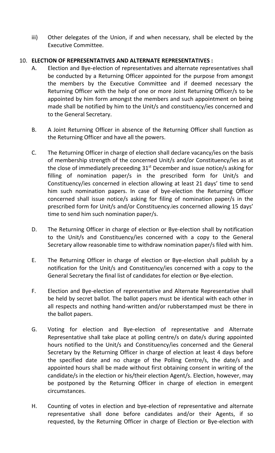iii) Other delegates of the Union, if and when necessary, shall be elected by the Executive Committee.

### 10. **ELECTION OF REPRESENTATIVES AND ALTERNATE REPRESENTATIVES :**

- A. Election and Bye-election of representatives and alternate representatives shall be conducted by a Returning Officer appointed for the purpose from amongst the members by the Executive Committee and if deemed necessary the Returning Officer with the help of one or more Joint Returning Officer/s to be appointed by him form amongst the members and such appointment on being made shall be notified by him to the Unit/s and constituency/ies concerned and to the General Secretary.
- B. A Joint Returning Officer in absence of the Returning Officer shall function as the Returning Officer and have all the powers.
- C. The Returning Officer in charge of election shall declare vacancy/ies on the basis of membership strength of the concerned Unit/s and/or Constituency/ies as at the close of immediately preceeding  $31<sup>st</sup>$  December and issue notice/s asking for filling of nomination paper/s in the prescribed form for Unit/s and Constituency/ies concerned in election allowing at least 21 days' time to send him such nomination papers. In case of bye-election the Returning Officer concerned shall issue notice/s asking for filing of nomination paper/s in the prescribed form for Unit/s and/or Constituency.ies concerned allowing 15 days' time to send him such nomination paper/s.
- D. The Returning Officer in charge of election or Bye-election shall by notification to the Unit/s and Constituency/ies concerned with a copy to the General Secretary allow reasonable time to withdraw nomination paper/s filed with him.
- E. The Returning Officer in charge of election or Bye-election shall publish by a notification for the Unit/s and Constituency/ies concerned with a copy to the General Secretary the final list of candidates for election or Bye-election.
- F. Election and Bye-election of representative and Alternate Representative shall be held by secret ballot. The ballot papers must be identical with each other in all respects and nothing hand-written and/or rubberstamped must be there in the ballot papers.
- G. Voting for election and Bye-election of representative and Alternate Representative shall take place at polling centre/s on date/s during appointed hours notified to the Unit/s and Constituency/ies concerned and the General Secretary by the Returning Officer in charge of election at least 4 days before the specified date and no charge of the Polling Centre/s, the date/s and appointed hours shall be made without first obtaining consent in writing of the candidate/s in the election or his/their election Agent/s. Election, however, may be postponed by the Returning Officer in charge of election in emergent circumstances.
- H. Counting of votes in election and bye-election of representative and alternate representative shall done before candidates and/or their Agents, if so requested, by the Returning Officer in charge of Election or Bye-election with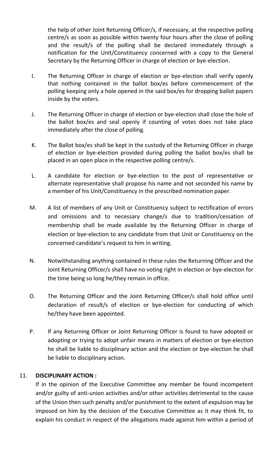the help of other Joint Returning Officer/s, if necessary, at the respective polling centre/s as soon as possible within twenty four hours after the close of polling and the result/s of the polling shall be declared immediately through a notification for the Unit/Constituency concerned with a copy to the General Secretary by the Returning Officer in charge of election or bye-election.

- I. The Returning Officer in charge of election or bye-election shall verify openly that nothing contained in the ballot box/es before commencement of the polling keeping only a hole opened in the said box/es for dropping ballot papers inside by the voters.
- J. The Returning Officer in charge of election or bye-election shall close the hole of the ballot box/es and seal openly if counting of votes does not take place immediately after the close of polling.
- K. The Ballot box/es shall be kept in the custody of the Returning Officer in charge of election or bye-election provided during polling the ballot box/es shall be placed in an open place in the respective polling centre/s.
- L. A candidate for election or bye-election to the post of representative or alternate representative shall propose his name and not seconded his name by a member of his Unit/Constituency in the prescribed nomination paper.
- M. A list of members of any Unit or Constituency subject to rectification of errors and omissions and to necessary change/s due to tradition/cessation of membership shall be made available by the Returning Officer in charge of election or bye-election to any candidate from that Unit or Constituency on the concerned candidate's request to him in writing.
- N. Notwithstanding anything contained in these rules the Returning Officer and the Joint Returning Officer/s shall have no voting right in election or bye-election for the time being so long he/they remain in office.
- O. The Returning Officer and the Joint Returning Officer/s shall hold office until declaration of result/s of election or bye-election for conducting of which he/they have been appointed.
- P. If any Returning Officer or Joint Returning Officer is found to have adopted or adopting or trying to adopt unfair means in matters of election or bye-election he shall be liable to disciplinary action and the election or bye-election he shall be liable to disciplinary action.

# 11. **DISCIPLINARY ACTION :**

If in the opinion of the Executive Committee any member be found incompetent and/or guilty of anti-union activities and/or other activities detrimental to the cause of the Union then such penalty and/or punishment to the extent of expulsion may be imposed on him by the decision of the Executive Committee as it may think fit, to explain his conduct in respect of the allegations made against him within a period of